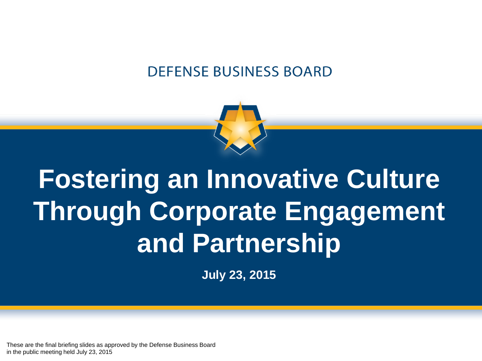#### **DEFENSE BUSINESS BOARD**



# **Fostering an Innovative Culture Through Corporate Engagement and Partnership**

**July 23, 2015**

These are the final briefing slides as approved by the Defense Business Board in the public meeting held July 23, 2015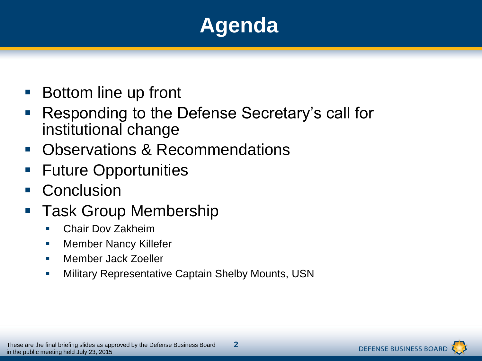### **Agenda**

- Bottom line up front
- Responding to the Defense Secretary's call for institutional change
- **Depart Constructions & Recommendations**
- Future Opportunities
- **Conclusion**
- Task Group Membership
	- **Chair Dov Zakheim**
	- **Nember Nancy Killefer**
	- **Member Jack Zoeller**
	- **EXECT** Military Representative Captain Shelby Mounts, USN

**2**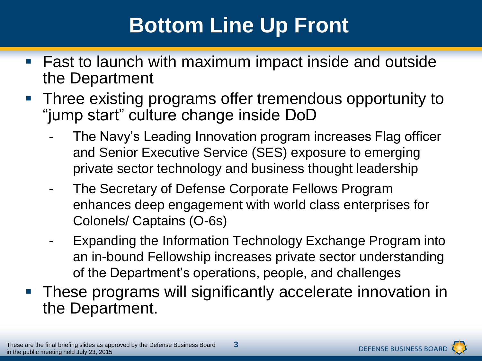### **Bottom Line Up Front**

- Fast to launch with maximum impact inside and outside the Department
- Three existing programs offer tremendous opportunity to "jump start" culture change inside DoD
	- The Navy's Leading Innovation program increases Flag officer and Senior Executive Service (SES) exposure to emerging private sector technology and business thought leadership
	- The Secretary of Defense Corporate Fellows Program enhances deep engagement with world class enterprises for Colonels/ Captains (O-6s)
	- Expanding the Information Technology Exchange Program into an in-bound Fellowship increases private sector understanding of the Department's operations, people, and challenges
- These programs will significantly accelerate innovation in the Department.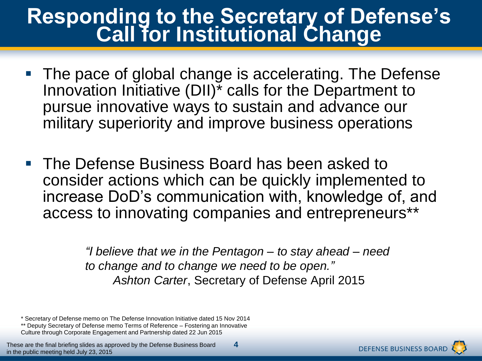#### **Responding to the Secretary of Defense's Call for Institutional Change**

- The pace of global change is accelerating. The Defense Innovation Initiative (DII)\* calls for the Department to pursue innovative ways to sustain and advance our military superiority and improve business operations
- **The Defense Business Board has been asked to Fig. 7.** consider actions which can be quickly implemented to increase DoD's communication with, knowledge of, and access to innovating companies and entrepreneurs\*\*

*"I believe that we in the Pentagon – to stay ahead – need to change and to change we need to be open." Ashton Carter*, Secretary of Defense April 2015

**4**

\* Secretary of Defense memo on The Defense Innovation Initiative dated 15 Nov 2014

\*\* Deputy Secretary of Defense memo Terms of Reference – Fostering an Innovative Culture through Corporate Engagement and Partnership dated 22 Jun 2015

These are the final briefing slides as approved by the Defense Business Board in the public meeting held July 23, 2015

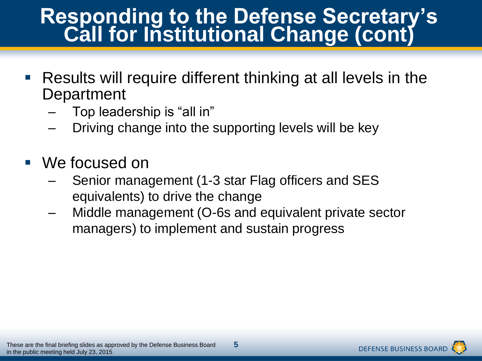#### **Responding to the Defense Secretary's Call for Institutional Change (cont)**

- Results will require different thinking at all levels in the **Department** 
	- Top leadership is "all in"
	- Driving change into the supporting levels will be key
- We focused on
	- Senior management (1-3 star Flag officers and SES equivalents) to drive the change
	- Middle management (O-6s and equivalent private sector managers) to implement and sustain progress

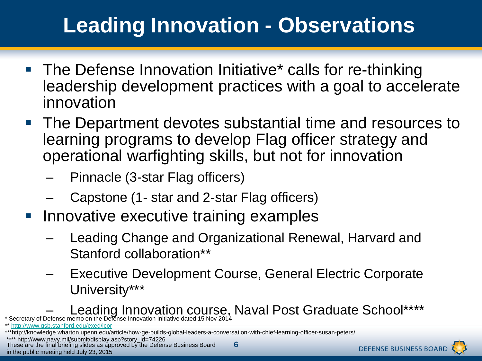### **Leading Innovation - Observations**

- **The Defense Innovation Initiative\* calls for re-thinking** leadership development practices with a goal to accelerate innovation
- **The Department devotes substantial time and resources to** learning programs to develop Flag officer strategy and operational warfighting skills, but not for innovation
	- Pinnacle (3-star Flag officers)
	- Capstone (1- star and 2-star Flag officers)
- **Innovative executive training examples** 
	- Leading Change and Organizational Renewal, Harvard and Stanford collaboration\*\*
	- Executive Development Course, General Electric Corporate University\*\*\*
- \* Secretary of Defense memo on the Defense Innovation Initiative dated 15 Nov 2014 **Novelock Graduate School**\*\*\*\*

\*\* <http://www.gsb.stanford.edu/exed/lcor>

\*\*\*http://knowledge.wharton.upenn.edu/article/how-ge-builds-global-leaders-a-conversation-with-chief-learning-officer-susan-peters/

\*\*\*\* http://www.navy.mil/submit/display.asp?story\_id=74226

These are the final briefing slides as approved by the Defense Business Board in the public meeting held July 23, 2015

**6**

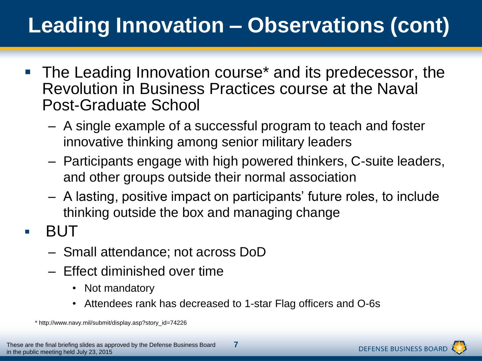# **Leading Innovation – Observations (cont)**

- The Leading Innovation course\* and its predecessor, the Revolution in Business Practices course at the Naval Post-Graduate School
	- A single example of a successful program to teach and foster innovative thinking among senior military leaders
	- Participants engage with high powered thinkers, C-suite leaders, and other groups outside their normal association
	- A lasting, positive impact on participants' future roles, to include thinking outside the box and managing change
- $\blacksquare$  BUT
	- Small attendance; not across DoD
	- Effect diminished over time
		- Not mandatory
		- Attendees rank has decreased to 1-star Flag officers and O-6s

\* http://www.navy.mil/submit/display.asp?story\_id=74226

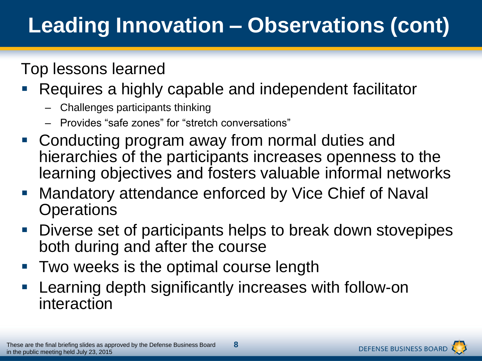# **Leading Innovation – Observations (cont)**

#### Top lessons learned

- Requires a highly capable and independent facilitator
	- Challenges participants thinking
	- Provides "safe zones" for "stretch conversations"
- Conducting program away from normal duties and hierarchies of the participants increases openness to the learning objectives and fosters valuable informal networks
- **Mandatory attendance enforced by Vice Chief of Naval Operations**
- Diverse set of participants helps to break down stovepipes both during and after the course
- Two weeks is the optimal course length
- Learning depth significantly increases with follow-on interaction

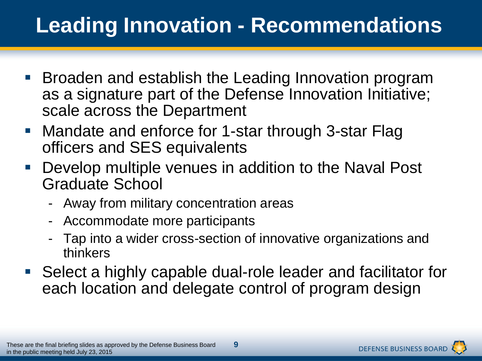### **Leading Innovation - Recommendations**

- **Broaden and establish the Leading Innovation program** as a signature part of the Defense Innovation Initiative; scale across the Department
- **Mandate and enforce for 1-star through 3-star Flag** officers and SES equivalents
- Develop multiple venues in addition to the Naval Post Graduate School
	- Away from military concentration areas
	- Accommodate more participants
	- Tap into a wider cross-section of innovative organizations and thinkers
- Select a highly capable dual-role leader and facilitator for each location and delegate control of program design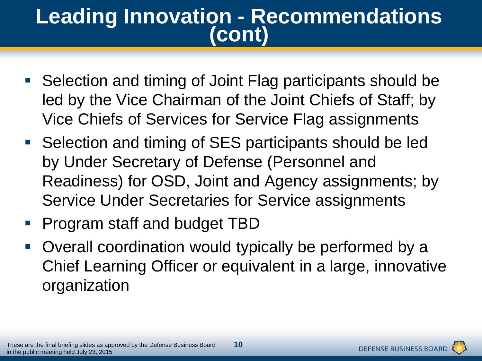#### **Leading Innovation - Recommendations (cont)**

- Selection and timing of Joint Flag participants should be led by the Vice Chairman of the Joint Chiefs of Staff; by Vice Chiefs of Services for Service Flag assignments
- Selection and timing of SES participants should be led by Under Secretary of Defense (Personnel and Readiness) for OSD, Joint and Agency assignments; by Service Under Secretaries for Service assignments
- Program staff and budget TBD
- Overall coordination would typically be performed by a Chief Learning Officer or equivalent in a large, innovative organization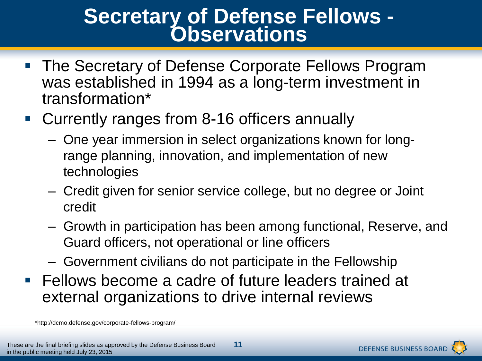#### **Secretary of Defense Fellows - Observations**

- **The Secretary of Defense Corporate Fellows Program** was established in 1994 as a long-term investment in transformation\*
- Currently ranges from 8-16 officers annually
	- One year immersion in select organizations known for longrange planning, innovation, and implementation of new technologies
	- Credit given for senior service college, but no degree or Joint credit
	- Growth in participation has been among functional, Reserve, and Guard officers, not operational or line officers
	- Government civilians do not participate in the Fellowship
- **Fellows become a cadre of future leaders trained at** external organizations to drive internal reviews

\*http://dcmo.defense.gov/corporate-fellows-program/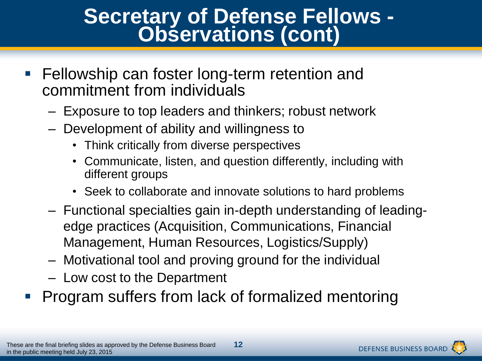#### **Secretary of Defense Fellows - Observations (cont)**

- **Fellowship can foster long-term retention and** commitment from individuals
	- Exposure to top leaders and thinkers; robust network
	- Development of ability and willingness to
		- Think critically from diverse perspectives
		- Communicate, listen, and question differently, including with different groups
		- Seek to collaborate and innovate solutions to hard problems
	- Functional specialties gain in-depth understanding of leadingedge practices (Acquisition, Communications, Financial Management, Human Resources, Logistics/Supply)
	- Motivational tool and proving ground for the individual
	- Low cost to the Department
- Program suffers from lack of formalized mentoring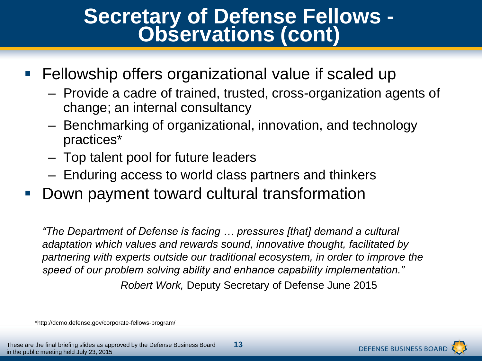#### **Secretary of Defense Fellows - Observations (cont)**

- **Fellowship offers organizational value if scaled up** 
	- Provide a cadre of trained, trusted, cross-organization agents of change; an internal consultancy
	- Benchmarking of organizational, innovation, and technology practices\*
	- Top talent pool for future leaders
	- Enduring access to world class partners and thinkers
- Down payment toward cultural transformation

*"The Department of Defense is facing … pressures [that] demand a cultural adaptation which values and rewards sound, innovative thought, facilitated by partnering with experts outside our traditional ecosystem, in order to improve the speed of our problem solving ability and enhance capability implementation." Robert Work,* Deputy Secretary of Defense June 2015

\*http://dcmo.defense.gov/corporate-fellows-program/

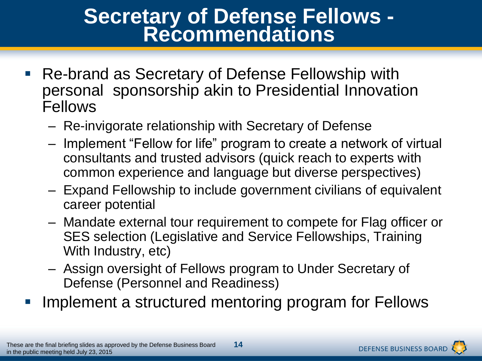#### **Secretary of Defense Fellows - Recommendations**

- Re-brand as Secretary of Defense Fellowship with personal sponsorship akin to Presidential Innovation Fellows
	- Re-invigorate relationship with Secretary of Defense
	- Implement "Fellow for life" program to create a network of virtual consultants and trusted advisors (quick reach to experts with common experience and language but diverse perspectives)
	- Expand Fellowship to include government civilians of equivalent career potential
	- Mandate external tour requirement to compete for Flag officer or SES selection (Legislative and Service Fellowships, Training With Industry, etc)
	- Assign oversight of Fellows program to Under Secretary of Defense (Personnel and Readiness)
- Implement a structured mentoring program for Fellows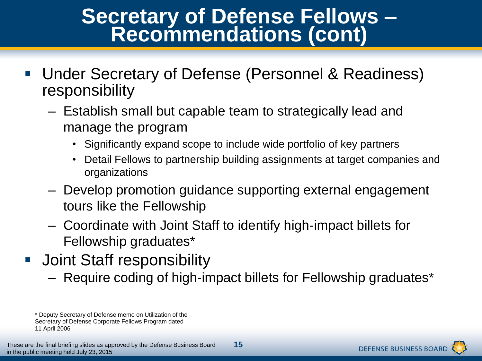#### **Secretary of Defense Fellows – Recommendations (cont)**

- Under Secretary of Defense (Personnel & Readiness) responsibility
	- Establish small but capable team to strategically lead and manage the program
		- Significantly expand scope to include wide portfolio of key partners
		- Detail Fellows to partnership building assignments at target companies and organizations
	- Develop promotion guidance supporting external engagement tours like the Fellowship
	- Coordinate with Joint Staff to identify high-impact billets for Fellowship graduates\*
- Joint Staff responsibility
	- Require coding of high-impact billets for Fellowship graduates\*



<sup>\*</sup> Deputy Secretary of Defense memo on Utilization of the Secretary of Defense Corporate Fellows Program dated 11 April 2006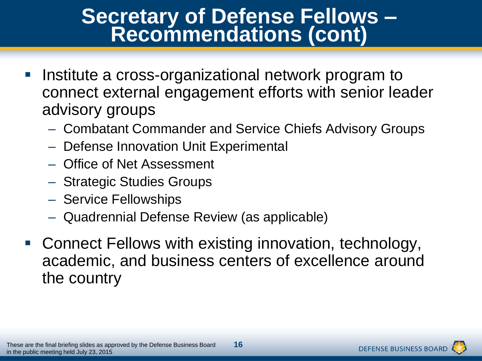#### **Secretary of Defense Fellows – Recommendations (cont)**

- Institute a cross-organizational network program to connect external engagement efforts with senior leader advisory groups
	- Combatant Commander and Service Chiefs Advisory Groups
	- Defense Innovation Unit Experimental
	- Office of Net Assessment
	- Strategic Studies Groups
	- Service Fellowships
	- Quadrennial Defense Review (as applicable)
- Connect Fellows with existing innovation, technology, academic, and business centers of excellence around the country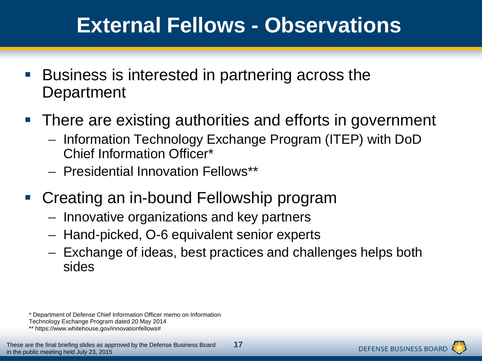### **External Fellows - Observations**

- Business is interested in partnering across the **Department**
- There are existing authorities and efforts in government
	- Information Technology Exchange Program (ITEP) with DoD Chief Information Officer\*
	- Presidential Innovation Fellows\*\*
- Creating an in-bound Fellowship program
	- Innovative organizations and key partners
	- Hand-picked, O-6 equivalent senior experts
	- Exchange of ideas, best practices and challenges helps both sides

<sup>\*</sup> Department of Defense Chief Information Officer memo on Information

Technology Exchange Program dated 20 May 2014

<sup>\*\*</sup> https://www.whitehouse.gov/innovationfellows#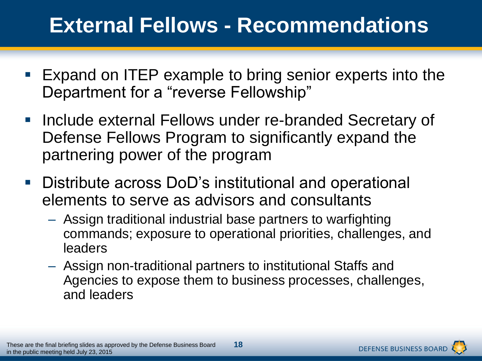### **External Fellows - Recommendations**

- **Expand on ITEP example to bring senior experts into the** Department for a "reverse Fellowship"
- Include external Fellows under re-branded Secretary of Defense Fellows Program to significantly expand the partnering power of the program
- **-** Distribute across DoD's institutional and operational elements to serve as advisors and consultants
	- Assign traditional industrial base partners to warfighting commands; exposure to operational priorities, challenges, and leaders
	- Assign non-traditional partners to institutional Staffs and Agencies to expose them to business processes, challenges, and leaders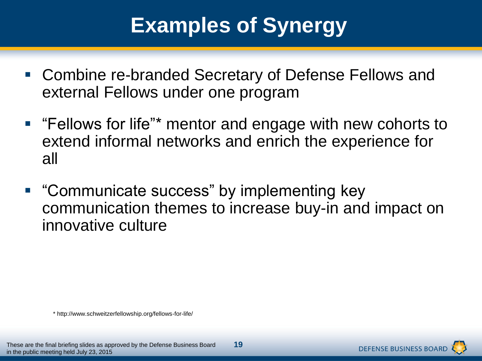### **Examples of Synergy**

- Combine re-branded Secretary of Defense Fellows and external Fellows under one program
- **F** "Fellows for life"\* mentor and engage with new cohorts to extend informal networks and enrich the experience for all
- **"Communicate success" by implementing key** communication themes to increase buy-in and impact on innovative culture

\* http://www.schweitzerfellowship.org/fellows-for-life/

**DEFENSE BUSINESS BOAR**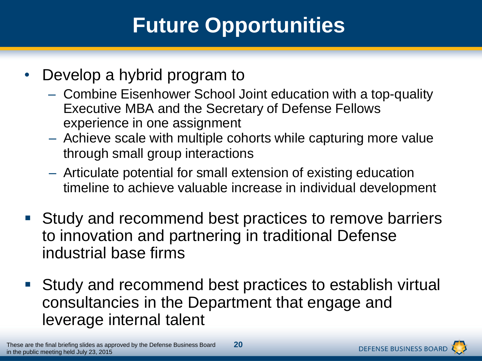### **Future Opportunities**

- Develop a hybrid program to
	- Combine Eisenhower School Joint education with a top-quality Executive MBA and the Secretary of Defense Fellows experience in one assignment
	- Achieve scale with multiple cohorts while capturing more value through small group interactions
	- Articulate potential for small extension of existing education timeline to achieve valuable increase in individual development
- Study and recommend best practices to remove barriers to innovation and partnering in traditional Defense industrial base firms
- Study and recommend best practices to establish virtual consultancies in the Department that engage and leverage internal talent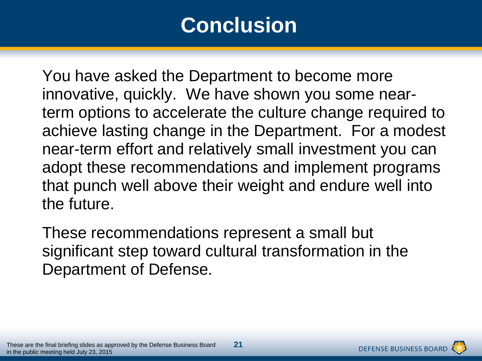### **Conclusion**

You have asked the Department to become more innovative, quickly. We have shown you some nearterm options to accelerate the culture change required to achieve lasting change in the Department. For a modest near-term effort and relatively small investment you can adopt these recommendations and implement programs that punch well above their weight and endure well into the future.

These recommendations represent a small but significant step toward cultural transformation in the Department of Defense.